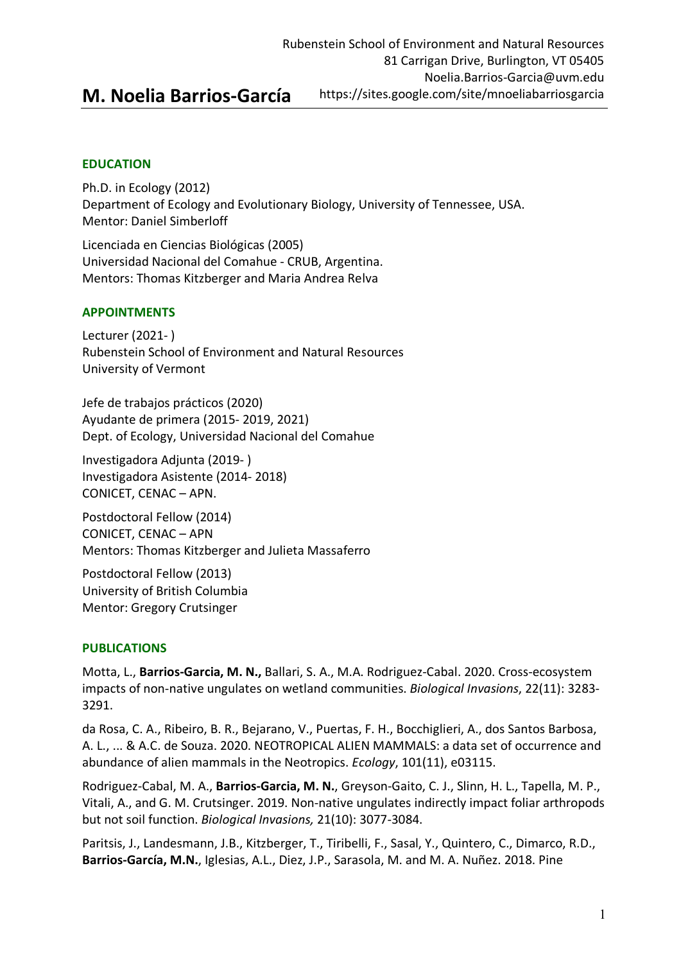# **M. Noelia Barrios-García**

# **EDUCATION**

Ph.D. in Ecology (2012) Department of Ecology and Evolutionary Biology, University of Tennessee, USA. Mentor: Daniel Simberloff

Licenciada en Ciencias Biológicas (2005) Universidad Nacional del Comahue - CRUB, Argentina. Mentors: Thomas Kitzberger and Maria Andrea Relva

# **APPOINTMENTS**

Lecturer (2021- ) Rubenstein School of Environment and Natural Resources University of Vermont

Jefe de trabajos prácticos (2020) Ayudante de primera (2015- 2019, 2021) Dept. of Ecology, Universidad Nacional del Comahue

Investigadora Adjunta (2019- ) Investigadora Asistente (2014- 2018) CONICET, CENAC – APN.

Postdoctoral Fellow (2014) CONICET, CENAC – APN Mentors: Thomas Kitzberger and Julieta Massaferro

Postdoctoral Fellow (2013) University of British Columbia Mentor: Gregory Crutsinger

# **PUBLICATIONS**

Motta, L., **Barrios-Garcia, M. N.,** Ballari, S. A., M.A. Rodriguez-Cabal. 2020. Cross-ecosystem impacts of non-native ungulates on wetland communities. *Biological Invasions*, 22(11): 3283- 3291.

da Rosa, C. A., Ribeiro, B. R., Bejarano, V., Puertas, F. H., Bocchiglieri, A., dos Santos Barbosa, A. L., ... & A.C. de Souza. 2020. NEOTROPICAL ALIEN MAMMALS: a data set of occurrence and abundance of alien mammals in the Neotropics. *Ecology*, 101(11), e03115.

Rodriguez-Cabal, M. A., **Barrios-Garcia, M. N.**, Greyson-Gaito, C. J., Slinn, H. L., Tapella, M. P., Vitali, A., and G. M. Crutsinger. 2019. Non-native ungulates indirectly impact foliar arthropods but not soil function. *Biological Invasions,* 21(10): 3077-3084.

Paritsis, J., Landesmann, J.B., Kitzberger, T., Tiribelli, F., Sasal, Y., Quintero, C., Dimarco, R.D., **Barrios-García, M.N.**, Iglesias, A.L., Diez, J.P., Sarasola, M. and M. A. Nuñez. 2018. Pine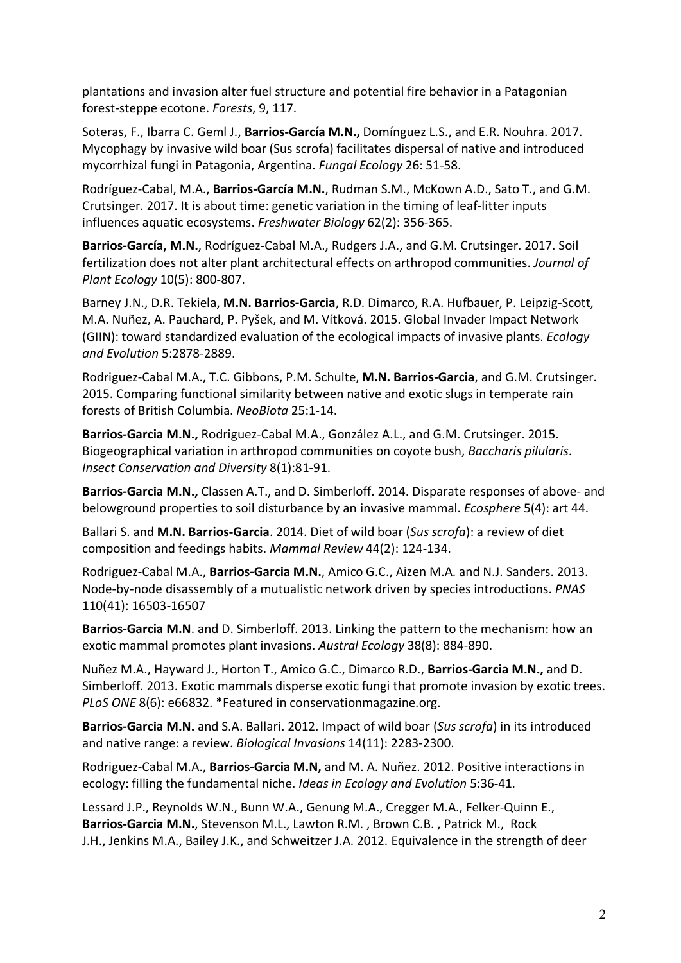plantations and invasion alter fuel structure and potential fire behavior in a Patagonian forest-steppe ecotone. *Forests*, 9, 117.

Soteras, F., Ibarra C. Geml J., **Barrios-García M.N.,** Domínguez L.S., and E.R. Nouhra. 2017. Mycophagy by invasive wild boar (Sus scrofa) facilitates dispersal of native and introduced mycorrhizal fungi in Patagonia, Argentina. *Fungal Ecology* 26: 51-58.

Rodríguez-Cabal, M.A., **Barrios-García M.N.**, Rudman S.M., McKown A.D., Sato T., and G.M. Crutsinger. 2017. It is about time: genetic variation in the timing of leaf-litter inputs influences aquatic ecosystems. *Freshwater Biology* 62(2): 356-365.

**Barrios-García, M.N.**, Rodríguez-Cabal M.A., Rudgers J.A., and G.M. Crutsinger. 2017. Soil fertilization does not alter plant architectural effects on arthropod communities. *Journal of Plant Ecology* 10(5): 800-807.

Barney J.N., D.R. Tekiela, **M.N. Barrios-Garcia**, R.D. Dimarco, R.A. Hufbauer, P. Leipzig-Scott, M.A. Nuñez, A. Pauchard, P. Pyšek, and M. Vítková. 2015. Global Invader Impact Network (GIIN): toward standardized evaluation of the ecological impacts of invasive plants. *Ecology and Evolution* 5:2878-2889.

Rodriguez-Cabal M.A., T.C. Gibbons, P.M. Schulte, **M.N. Barrios-Garcia**, and G.M. Crutsinger. 2015. Comparing functional similarity between native and exotic slugs in temperate rain forests of British Columbia. *NeoBiota* 25:1-14.

**Barrios-Garcia M.N.,** Rodriguez-Cabal M.A., González A.L., and G.M. Crutsinger. 2015. Biogeographical variation in arthropod communities on coyote bush, *Baccharis pilularis*. *Insect Conservation and Diversity* 8(1):81-91.

**Barrios-Garcia M.N.,** Classen A.T., and D. Simberloff. 2014. Disparate responses of above- and belowground properties to soil disturbance by an invasive mammal. *Ecosphere* 5(4): art 44.

Ballari S. and **M.N. Barrios-Garcia**. 2014. Diet of wild boar (*Sus scrofa*): a review of diet composition and feedings habits. *Mammal Review* 44(2): 124-134.

Rodriguez-Cabal M.A., **Barrios-Garcia M.N.**, Amico G.C., Aizen M.A. and N.J. Sanders. 2013. Node-by-node disassembly of a mutualistic network driven by species introductions. *PNAS* 110(41): 16503-16507

**Barrios-Garcia M.N**. and D. Simberloff. 2013. Linking the pattern to the mechanism: how an exotic mammal promotes plant invasions. *Austral Ecology* 38(8): 884-890.

Nuñez M.A., Hayward J., Horton T., Amico G.C., Dimarco R.D., **Barrios-Garcia M.N.,** and D. Simberloff. 2013. Exotic mammals disperse exotic fungi that promote invasion by exotic trees. *PLoS ONE* 8(6): e66832. \*Featured in conservationmagazine.org.

**Barrios-Garcia M.N.** and S.A. Ballari. 2012. Impact of wild boar (*Sus scrofa*) in its introduced and native range: a review. *Biological Invasions* 14(11): 2283-2300.

Rodriguez-Cabal M.A., **Barrios-Garcia M.N,** and M. A. Nuñez. 2012. Positive interactions in ecology: filling the fundamental niche. *Ideas in Ecology and Evolution* 5:36-41.

Lessard J.P., Reynolds W.N., Bunn W.A., Genung M.A., Cregger M.A., Felker-Quinn E., **Barrios-Garcia M.N.**, Stevenson M.L., Lawton R.M. , Brown C.B. , Patrick M., Rock J.H., Jenkins M.A., Bailey J.K., and Schweitzer J.A. 2012. Equivalence in the strength of deer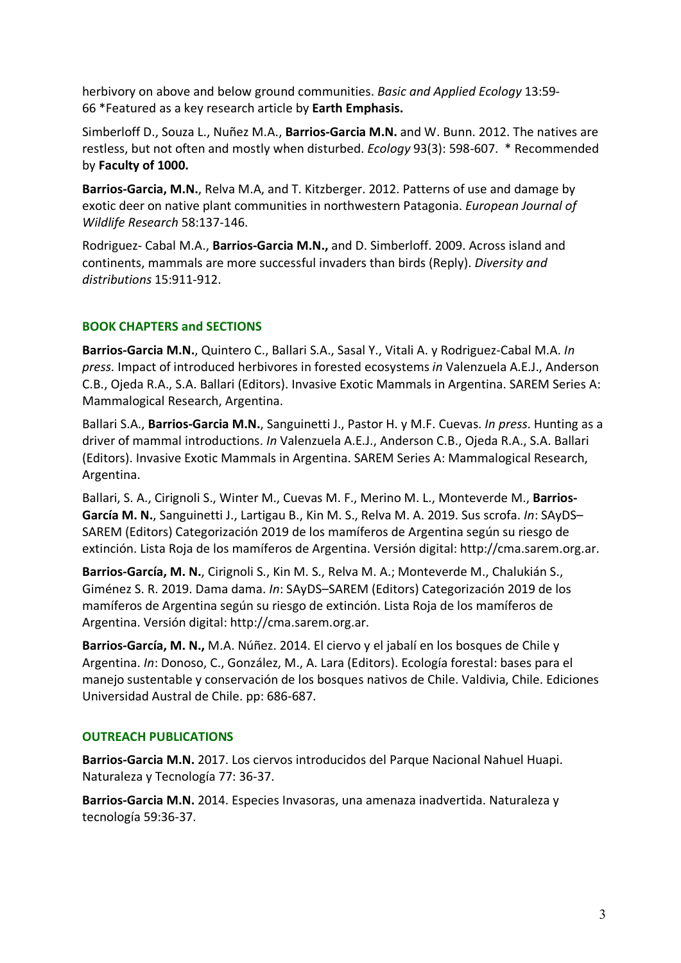herbivory on above and below ground communities. *Basic and Applied Ecology* 13:59- 66 \*Featured as a key research article by **Earth Emphasis.**

Simberloff D., Souza L., Nuñez M.A., **Barrios-Garcia M.N.** and W. Bunn. 2012. The natives are restless, but not often and mostly when disturbed. *Ecology* 93(3): 598-607. \* Recommended by **Faculty of 1000.**

**Barrios-Garcia, M.N.**, Relva M.A, and T. Kitzberger. 2012. Patterns of use and damage by exotic deer on native plant communities in northwestern Patagonia. *European Journal of Wildlife Research* 58:137-146.

Rodriguez- Cabal M.A., **Barrios-Garcia M.N.,** and D. Simberloff. 2009. Across island and continents, mammals are more successful invaders than birds (Reply). *Diversity and distributions* 15:911-912.

### **BOOK CHAPTERS and SECTIONS**

**Barrios-Garcia M.N.**, Quintero C., Ballari S.A., Sasal Y., Vitali A. y Rodriguez-Cabal M.A. *In press*. Impact of introduced herbivores in forested ecosystems *in* Valenzuela A.E.J., Anderson C.B., Ojeda R.A., S.A. Ballari (Editors). Invasive Exotic Mammals in Argentina. SAREM Series A: Mammalogical Research, Argentina.

Ballari S.A., **Barrios-Garcia M.N.**, Sanguinetti J., Pastor H. y M.F. Cuevas. *In press*. Hunting as a driver of mammal introductions. *In* Valenzuela A.E.J., Anderson C.B., Ojeda R.A., S.A. Ballari (Editors). Invasive Exotic Mammals in Argentina. SAREM Series A: Mammalogical Research, Argentina.

Ballari, S. A., Cirignoli S., Winter M., Cuevas M. F., Merino M. L., Monteverde M., **Barrios-García M. N.**, Sanguinetti J., Lartigau B., Kin M. S., Relva M. A. 2019. Sus scrofa. *In*: SAyDS– SAREM (Editors) Categorización 2019 de los mamíferos de Argentina según su riesgo de extinción. Lista Roja de los mamíferos de Argentina. Versión digital: http://cma.sarem.org.ar.

**Barrios-García, M. N.**, Cirignoli S., Kin M. S., Relva M. A.; Monteverde M., Chalukián S., Giménez S. R. 2019. Dama dama. *In*: SAyDS–SAREM (Editors) Categorización 2019 de los mamíferos de Argentina según su riesgo de extinción. Lista Roja de los mamíferos de Argentina. Versión digital: http://cma.sarem.org.ar.

**Barrios-García, M. N.,** M.A. Núñez. 2014. El ciervo y el jabalí en los bosques de Chile y Argentina. *In*: Donoso, C., González, M., A. Lara (Editors). Ecología forestal: bases para el manejo sustentable y conservación de los bosques nativos de Chile. Valdivia, Chile. Ediciones Universidad Austral de Chile. pp: 686-687.

#### **OUTREACH PUBLICATIONS**

**Barrios-Garcia M.N.** 2017. Los ciervos introducidos del Parque Nacional Nahuel Huapi. Naturaleza y Tecnología 77: 36-37.

**Barrios-Garcia M.N.** 2014. Especies Invasoras, una amenaza inadvertida. Naturaleza y tecnología 59:36-37.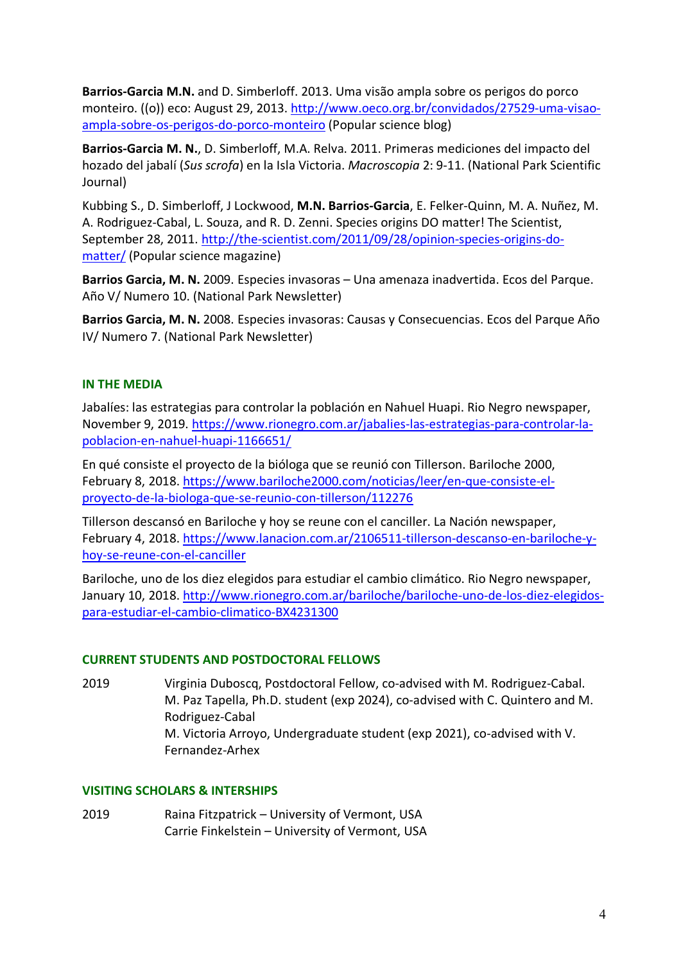**Barrios-Garcia M.N.** and D. Simberloff. 2013. Uma visão ampla sobre os perigos do porco monteiro. ((o)) eco: August 29, 2013. http://www.oeco.org.br/convidados/27529-uma-visaoampla-sobre-os-perigos-do-porco-monteiro (Popular science blog)

**Barrios-Garcia M. N.**, D. Simberloff, M.A. Relva. 2011. Primeras mediciones del impacto del hozado del jabalí (*Sus scrofa*) en la Isla Victoria. *Macroscopia* 2: 9-11. (National Park Scientific Journal)

Kubbing S., D. Simberloff, J Lockwood, **M.N. Barrios-Garcia**, E. Felker-Quinn, M. A. Nuñez, M. A. Rodriguez-Cabal, L. Souza, and R. D. Zenni. Species origins DO matter! The Scientist, September 28, 2011. http://the-scientist.com/2011/09/28/opinion-species-origins-domatter/ (Popular science magazine)

**Barrios Garcia, M. N.** 2009. Especies invasoras – Una amenaza inadvertida. Ecos del Parque. Año V/ Numero 10. (National Park Newsletter)

**Barrios Garcia, M. N.** 2008. Especies invasoras: Causas y Consecuencias. Ecos del Parque Año IV/ Numero 7. (National Park Newsletter)

### **IN THE MEDIA**

Jabalíes: las estrategias para controlar la población en Nahuel Huapi. Rio Negro newspaper, November 9, 2019. https://www.rionegro.com.ar/jabalies-las-estrategias-para-controlar-lapoblacion-en-nahuel-huapi-1166651/

En qué consiste el proyecto de la bióloga que se reunió con Tillerson. Bariloche 2000, February 8, 2018. https://www.bariloche2000.com/noticias/leer/en-que-consiste-elproyecto-de-la-biologa-que-se-reunio-con-tillerson/112276

Tillerson descansó en Bariloche y hoy se reune con el canciller. La Nación newspaper, February 4, 2018. https://www.lanacion.com.ar/2106511-tillerson-descanso-en-bariloche-yhoy-se-reune-con-el-canciller

Bariloche, uno de los diez elegidos para estudiar el cambio climático. Rio Negro newspaper, January 10, 2018. http://www.rionegro.com.ar/bariloche/bariloche-uno-de-los-diez-elegidospara-estudiar-el-cambio-climatico-BX4231300

#### **CURRENT STUDENTS AND POSTDOCTORAL FELLOWS**

2019 Virginia Duboscq, Postdoctoral Fellow, co-advised with M. Rodriguez-Cabal. M. Paz Tapella, Ph.D. student (exp 2024), co-advised with C. Quintero and M. Rodriguez-Cabal M. Victoria Arroyo, Undergraduate student (exp 2021), co-advised with V. Fernandez-Arhex

#### **VISITING SCHOLARS & INTERSHIPS**

2019 Raina Fitzpatrick – University of Vermont, USA Carrie Finkelstein – University of Vermont, USA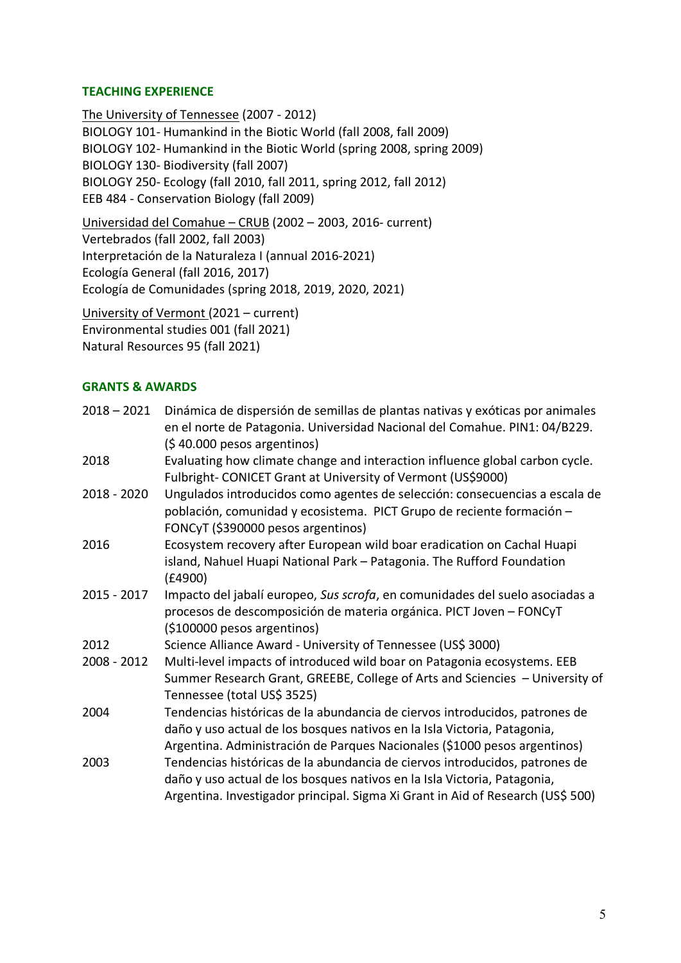### **TEACHING EXPERIENCE**

The University of Tennessee (2007 - 2012) BIOLOGY 101- Humankind in the Biotic World (fall 2008, fall 2009) BIOLOGY 102- Humankind in the Biotic World (spring 2008, spring 2009) BIOLOGY 130- Biodiversity (fall 2007) BIOLOGY 250- Ecology (fall 2010, fall 2011, spring 2012, fall 2012) EEB 484 - Conservation Biology (fall 2009)

Universidad del Comahue – CRUB (2002 – 2003, 2016- current) Vertebrados (fall 2002, fall 2003) Interpretación de la Naturaleza I (annual 2016-2021) Ecología General (fall 2016, 2017) Ecología de Comunidades (spring 2018, 2019, 2020, 2021)

University of Vermont (2021 – current) Environmental studies 001 (fall 2021) Natural Resources 95 (fall 2021)

## **GRANTS & AWARDS**

| $2018 - 2021$ | Dinámica de dispersión de semillas de plantas nativas y exóticas por animales<br>en el norte de Patagonia. Universidad Nacional del Comahue. PIN1: 04/B229.                                                                                |
|---------------|--------------------------------------------------------------------------------------------------------------------------------------------------------------------------------------------------------------------------------------------|
|               | $(540.000$ pesos argentinos)                                                                                                                                                                                                               |
| 2018          | Evaluating how climate change and interaction influence global carbon cycle.<br>Fulbright- CONICET Grant at University of Vermont (US\$9000)                                                                                               |
| 2018 - 2020   | Ungulados introducidos como agentes de selección: consecuencias a escala de<br>población, comunidad y ecosistema. PICT Grupo de reciente formación -<br>FONCyT (\$390000 pesos argentinos)                                                 |
| 2016          | Ecosystem recovery after European wild boar eradication on Cachal Huapi<br>island, Nahuel Huapi National Park - Patagonia. The Rufford Foundation<br>(E4900)                                                                               |
| 2015 - 2017   | Impacto del jabalí europeo, Sus scrofa, en comunidades del suelo asociadas a<br>procesos de descomposición de materia orgánica. PICT Joven - FONCyT<br>(\$100000 pesos argentinos)                                                         |
| 2012          | Science Alliance Award - University of Tennessee (US\$ 3000)                                                                                                                                                                               |
| 2008 - 2012   | Multi-level impacts of introduced wild boar on Patagonia ecosystems. EEB                                                                                                                                                                   |
|               | Summer Research Grant, GREEBE, College of Arts and Sciencies - University of<br>Tennessee (total US\$ 3525)                                                                                                                                |
| 2004          | Tendencias históricas de la abundancia de ciervos introducidos, patrones de<br>daño y uso actual de los bosques nativos en la Isla Victoria, Patagonia,<br>Argentina. Administración de Parques Nacionales (\$1000 pesos argentinos)       |
| 2003          | Tendencias históricas de la abundancia de ciervos introducidos, patrones de<br>daño y uso actual de los bosques nativos en la Isla Victoria, Patagonia,<br>Argentina. Investigador principal. Sigma Xi Grant in Aid of Research (US\$ 500) |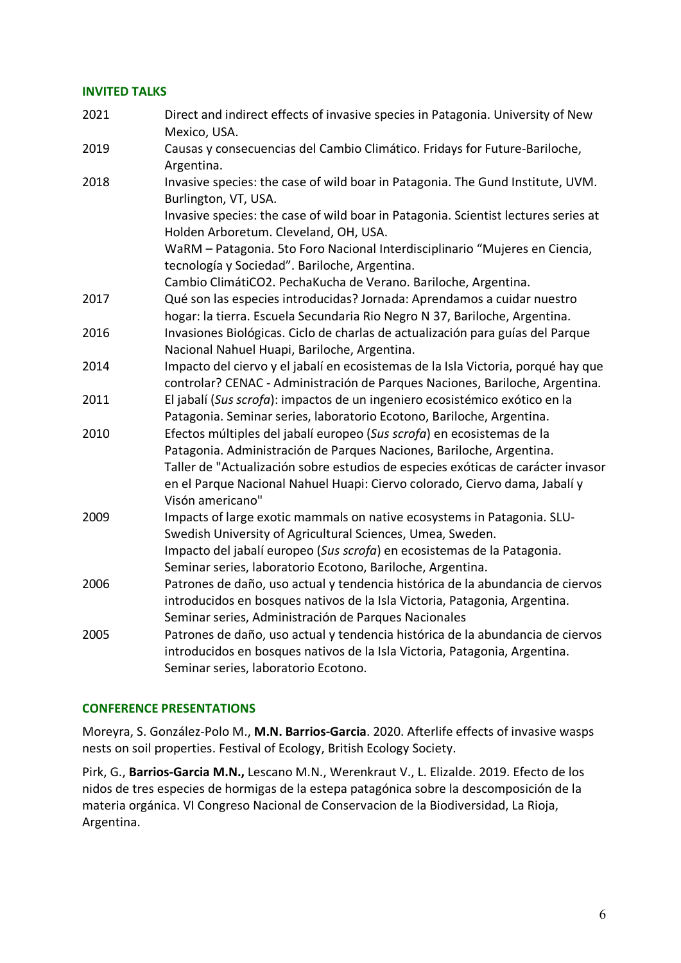#### **INVITED TALKS**

| 2021 | Direct and indirect effects of invasive species in Patagonia. University of New<br>Mexico, USA.                                                                                                                                                                                                                                      |
|------|--------------------------------------------------------------------------------------------------------------------------------------------------------------------------------------------------------------------------------------------------------------------------------------------------------------------------------------|
| 2019 | Causas y consecuencias del Cambio Climático. Fridays for Future-Bariloche,<br>Argentina.                                                                                                                                                                                                                                             |
| 2018 | Invasive species: the case of wild boar in Patagonia. The Gund Institute, UVM.<br>Burlington, VT, USA.                                                                                                                                                                                                                               |
|      | Invasive species: the case of wild boar in Patagonia. Scientist lectures series at<br>Holden Arboretum. Cleveland, OH, USA.                                                                                                                                                                                                          |
|      | WaRM - Patagonia. 5to Foro Nacional Interdisciplinario "Mujeres en Ciencia,<br>tecnología y Sociedad". Bariloche, Argentina.                                                                                                                                                                                                         |
|      | Cambio ClimátiCO2. PechaKucha de Verano. Bariloche, Argentina.                                                                                                                                                                                                                                                                       |
| 2017 | Qué son las especies introducidas? Jornada: Aprendamos a cuidar nuestro<br>hogar: la tierra. Escuela Secundaria Rio Negro N 37, Bariloche, Argentina.                                                                                                                                                                                |
| 2016 | Invasiones Biológicas. Ciclo de charlas de actualización para guías del Parque<br>Nacional Nahuel Huapi, Bariloche, Argentina.                                                                                                                                                                                                       |
| 2014 | Impacto del ciervo y el jabalí en ecosistemas de la Isla Victoria, porqué hay que<br>controlar? CENAC - Administración de Parques Naciones, Bariloche, Argentina.                                                                                                                                                                    |
| 2011 | El jabalí (Sus scrofa): impactos de un ingeniero ecosistémico exótico en la<br>Patagonia. Seminar series, laboratorio Ecotono, Bariloche, Argentina.                                                                                                                                                                                 |
| 2010 | Efectos múltiples del jabalí europeo (Sus scrofa) en ecosistemas de la<br>Patagonia. Administración de Parques Naciones, Bariloche, Argentina.<br>Taller de "Actualización sobre estudios de especies exóticas de carácter invasor<br>en el Parque Nacional Nahuel Huapi: Ciervo colorado, Ciervo dama, Jabalí y<br>Visón americano" |
| 2009 | Impacts of large exotic mammals on native ecosystems in Patagonia. SLU-<br>Swedish University of Agricultural Sciences, Umea, Sweden.<br>Impacto del jabalí europeo (Sus scrofa) en ecosistemas de la Patagonia.<br>Seminar series, laboratorio Ecotono, Bariloche, Argentina.                                                       |
| 2006 | Patrones de daño, uso actual y tendencia histórica de la abundancia de ciervos<br>introducidos en bosques nativos de la Isla Victoria, Patagonia, Argentina.<br>Seminar series, Administración de Parques Nacionales                                                                                                                 |
| 2005 | Patrones de daño, uso actual y tendencia histórica de la abundancia de ciervos<br>introducidos en bosques nativos de la Isla Victoria, Patagonia, Argentina.<br>Seminar series, laboratorio Ecotono.                                                                                                                                 |

#### **CONFERENCE PRESENTATIONS**

Moreyra, S. González-Polo M., **M.N. Barrios-Garcia**. 2020. Afterlife effects of invasive wasps nests on soil properties. Festival of Ecology, British Ecology Society.

Pirk, G., **Barrios-Garcia M.N.,** Lescano M.N., Werenkraut V., L. Elizalde. 2019. Efecto de los nidos de tres especies de hormigas de la estepa patagónica sobre la descomposición de la materia orgánica. VI Congreso Nacional de Conservacion de la Biodiversidad, La Rioja, Argentina.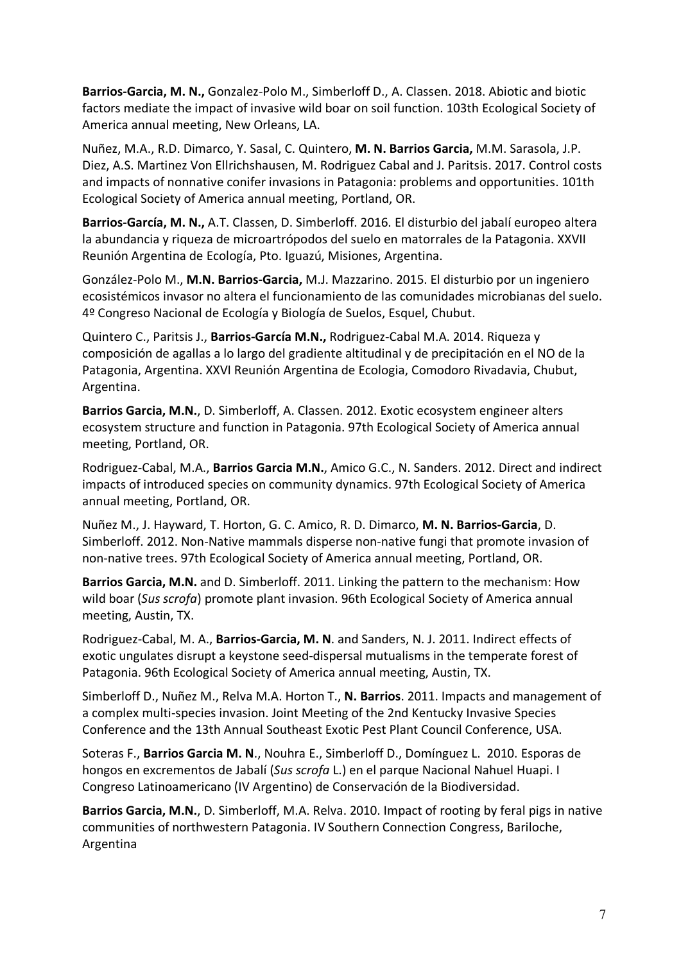**Barrios-Garcia, M. N.,** Gonzalez-Polo M., Simberloff D., A. Classen. 2018. Abiotic and biotic factors mediate the impact of invasive wild boar on soil function. 103th Ecological Society of America annual meeting, New Orleans, LA.

Nuñez, M.A., R.D. Dimarco, Y. Sasal, C. Quintero, **M. N. Barrios Garcia,** M.M. Sarasola, J.P. Diez, A.S. Martinez Von Ellrichshausen, M. Rodriguez Cabal and J. Paritsis. 2017. Control costs and impacts of nonnative conifer invasions in Patagonia: problems and opportunities. 101th Ecological Society of America annual meeting, Portland, OR.

**Barrios-García, M. N.,** A.T. Classen, D. Simberloff. 2016. El disturbio del jabalí europeo altera la abundancia y riqueza de microartrópodos del suelo en matorrales de la Patagonia. XXVII Reunión Argentina de Ecología, Pto. Iguazú, Misiones, Argentina.

González-Polo M., **M.N. Barrios-Garcia,** M.J. Mazzarino. 2015. El disturbio por un ingeniero ecosistémicos invasor no altera el funcionamiento de las comunidades microbianas del suelo. 4º Congreso Nacional de Ecología y Biología de Suelos, Esquel, Chubut.

Quintero C., Paritsis J., **Barrios-García M.N.,** Rodriguez-Cabal M.A. 2014. Riqueza y composición de agallas a lo largo del gradiente altitudinal y de precipitación en el NO de la Patagonia, Argentina. XXVI Reunión Argentina de Ecologia, Comodoro Rivadavia, Chubut, Argentina.

**Barrios Garcia, M.N.**, D. Simberloff, A. Classen. 2012. Exotic ecosystem engineer alters ecosystem structure and function in Patagonia. 97th Ecological Society of America annual meeting, Portland, OR.

Rodriguez-Cabal, M.A., **Barrios Garcia M.N.**, Amico G.C., N. Sanders. 2012. Direct and indirect impacts of introduced species on community dynamics. 97th Ecological Society of America annual meeting, Portland, OR.

Nuñez M., J. Hayward, T. Horton, G. C. Amico, R. D. Dimarco, **M. N. Barrios-Garcia**, D. Simberloff. 2012. Non-Native mammals disperse non-native fungi that promote invasion of non-native trees. 97th Ecological Society of America annual meeting, Portland, OR.

**Barrios Garcia, M.N.** and D. Simberloff. 2011. Linking the pattern to the mechanism: How wild boar (*Sus scrofa*) promote plant invasion. 96th Ecological Society of America annual meeting, Austin, TX.

Rodriguez-Cabal, M. A., **Barrios-Garcia, M. N**. and Sanders, N. J. 2011. Indirect effects of exotic ungulates disrupt a keystone seed-dispersal mutualisms in the temperate forest of Patagonia. 96th Ecological Society of America annual meeting, Austin, TX.

Simberloff D., Nuñez M., Relva M.A. Horton T., **N. Barrios**. 2011. Impacts and management of a complex multi-species invasion. Joint Meeting of the 2nd Kentucky Invasive Species Conference and the 13th Annual Southeast Exotic Pest Plant Council Conference, USA.

Soteras F., **Barrios Garcia M. N**., Nouhra E., Simberloff D., Domínguez L. 2010. Esporas de hongos en excrementos de Jabalí (*Sus scrofa* L.) en el parque Nacional Nahuel Huapi. I Congreso Latinoamericano (IV Argentino) de Conservación de la Biodiversidad.

**Barrios Garcia, M.N.**, D. Simberloff, M.A. Relva. 2010. Impact of rooting by feral pigs in native communities of northwestern Patagonia. IV Southern Connection Congress, Bariloche, Argentina